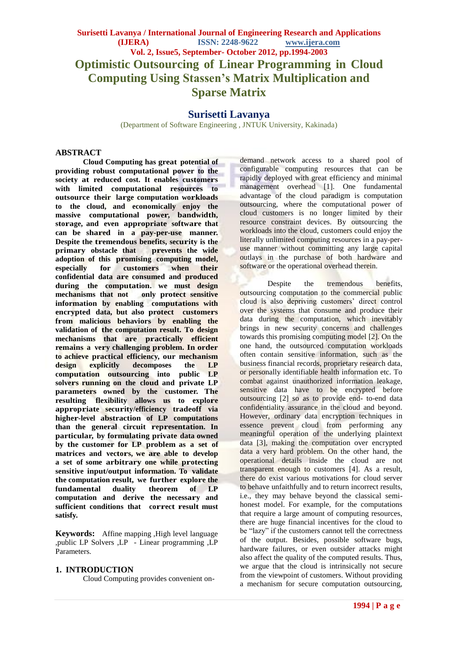# **Surisetti Lavanya**

(Department of Software Engineering , JNTUK University, Kakinada)

#### **ABSTRACT**

**Cloud Computing has great potential of providing robust computational power to the society at reduced cost. It enables customers with limited computational resources to outsource their large computation workloads to the cloud, and economically enjoy the massive computational power, bandwidth, storage, and even appropriate software that can be shared in a pay-per-use manner. Despite the tremendous benefits, security is the primary** obstacle that **adoption of this promising computing model, especially for customers when their confidential data are consumed and produced during the computation. we must design many protect sensitive information by enabling computations with encrypted data, but also protect customers from malicious behaviors by enabling the validation of the computation result. To design mechanisms that are practically efficient remains a very challenging problem. In order to achieve practical efficiency, our mechanism design explicitly decomposes the LP computation outsourcing into public LP solvers running on the cloud and private LP parameters owned by the customer. The resulting flexibility allows us to explore appropriate security/efficiency tradeoff via higher-level abstraction of LP computations than the general circuit representation. In particular, by formulating private data owned by the customer for LP problem as a set of matrices and vectors, we are able to develop a set of some arbitrary one while protecting sensitive input/output information. To validate the computation result, we further explore the fundamental duality computation and derive the necessary and sufficient conditions that correct result must satisfy.**

**Keywords:** Affine mapping ,High level language ,public LP Solvers ,LP - Linear programming ,LP Parameters.

## **1. INTRODUCTION**

Cloud Computing provides convenient on-

demand network access to a shared pool of configurable computing resources that can be rapidly deployed with great efficiency and minimal management overhead [1]. One fundamental advantage of the cloud paradigm is computation outsourcing, where the computational power of cloud customers is no longer limited by their resource constraint devices. By outsourcing the workloads into the cloud, customers could enjoy the literally unlimited computing resources in a pay-peruse manner without committing any large capital outlays in the purchase of both hardware and software or the operational overhead therein.

Despite the tremendous benefits, outsourcing computation to the commercial public cloud is also depriving customers' direct control over the systems that consume and produce their data during the computation, which inevitably brings in new security concerns and challenges towards this promising computing model [2]. On the one hand, the outsourced computation workloads often contain sensitive information, such as the business financial records, proprietary research data, or personally identifiable health information etc. To combat against unauthorized information leakage, sensitive data have to be encrypted before outsourcing [2] so as to provide end- to-end data confidentiality assurance in the cloud and beyond. However, ordinary data encryption techniques in essence prevent cloud from performing any meaningful operation of the underlying plaintext data [3], making the computation over encrypted data a very hard problem. On the other hand, the operational details inside the cloud are not transparent enough to customers [4]. As a result, there do exist various motivations for cloud server to behave unfaithfully and to return incorrect results, i.e., they may behave beyond the classical semihonest model. For example, for the computations that require a large amount of computing resources, there are huge financial incentives for the cloud to be "lazy" if the customers cannot tell the correctness of the output. Besides, possible software bugs, hardware failures, or even outsider attacks might also affect the quality of the computed results. Thus, we argue that the cloud is intrinsically not secure from the viewpoint of customers. Without providing a mechanism for secure computation outsourcing,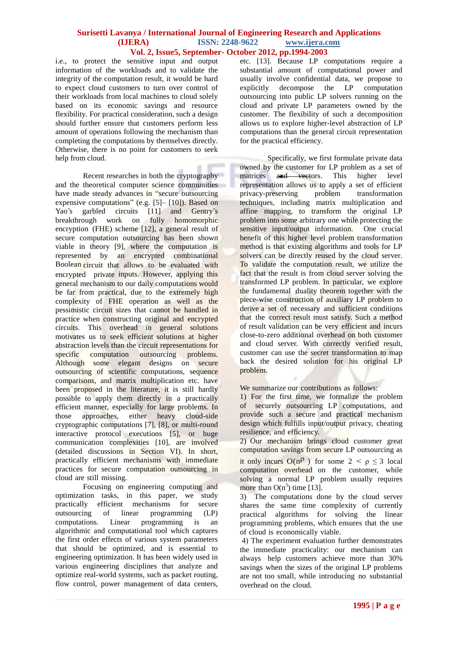i.e., to protect the sensitive input and output information of the workloads and to validate the integrity of the computation result, it would be hard to expect cloud customers to turn over control of their workloads from local machines to cloud solely based on its economic savings and resource flexibility. For practical consideration, such a design should further ensure that customers perform less amount of operations following the mechanism than completing the computations by themselves directly. Otherwise, there is no point for customers to seek help from cloud.

Recent researches in both the cryptography and the theoretical computer science communities have made steady advances in "secure outsourcing expensive computations" (e.g. [5]– [10]). Based on Yao's garbled circuits [11] and Gentry's breakthrough work on fully homomorphic encryption (FHE) scheme [12], a general result of secure computation outsourcing has been shown viable in theory [9], where the computation is represented by an encrypted combinational Boolean circuit that allows to be evaluated with encrypted private inputs. However, applying this general mechanism to our daily computations would be far from practical, due to the extremely high complexity of FHE operation as well as the pessimistic circuit sizes that cannot be handled in practice when constructing original and encrypted circuits. This overhead in general solutions motivates us to seek efficient solutions at higher abstraction levels than the circuit representations for specific computation outsourcing problems. Although some elegant designs on secure outsourcing of scientific computations, sequence comparisons, and matrix multiplication etc. have been proposed in the literature, it is still hardly possible to apply them directly in a practically efficient manner, especially for large problems. In those approaches, either heavy cloud-side cryptographic computations [7], [8], or multi-round interactive protocol executions [5], or huge communication complexities [10], are involved (detailed discussions in Section VI). In short, practically efficient mechanisms with immediate practices for secure computation outsourcing in cloud are still missing.

Focusing on engineering computing and optimization tasks, in this paper, we study practically efficient mechanisms for secure outsourcing of linear programming (LP) computations. Linear programming is an algorithmic and computational tool which captures the first order effects of various system parameters that should be optimized, and is essential to engineering optimization. It has been widely used in various engineering disciplines that analyze and optimize real-world systems, such as packet routing, flow control, power management of data centers, etc. [13]. Because LP computations require a substantial amount of computational power and usually involve confidential data, we propose to explicitly decompose the LP computation outsourcing into public LP solvers running on the cloud and private LP parameters owned by the customer. The flexibility of such a decomposition allows us to explore higher-level abstraction of LP computations than the general circuit representation for the practical efficiency.

Specifically, we first formulate private data owned by the customer for LP problem as a set of matrices and vectors. This higher level representation allows us to apply a set of efficient privacy-preserving problem transformation techniques, including matrix multiplication and affine mapping, to transform the original LP problem into some arbitrary one while protecting the sensitive input/output information. One crucial benefit of this higher level problem transformation method is that existing algorithms and tools for LP solvers can be directly reused by the cloud server. To validate the computation result, we utilize the fact that the result is from cloud server solving the transformed LP problem. In particular, we explore the fundamental duality theorem together with the piece-wise construction of auxiliary LP problem to derive a set of necessary and sufficient conditions that the correct result must satisfy. Such a method of result validation can be very efficient and incurs close-to-zero additional overhead on both customer and cloud server. With correctly verified result, customer can use the secret transformation to map back the desired solution for his original LP problem.

We summarize our contributions as follows:

1) For the first time, we formalize the problem of securely outsourcing LP computations, and provide such a secure and practical mechanism design which fulfills input/output privacy, cheating resilience, and efficiency.

2) Our mechanism brings cloud customer great computation savings from secure LP outsourcing as it only incurs  $O(n^{\rho})$  for some  $2 < \rho \le 3$  local computation overhead on the customer, while solving a normal LP problem usually requires more than  $O(n^3)$  time [13].

3) The computations done by the cloud server shares the same time complexity of currently practical algorithms for solving the linear programming problems, which ensures that the use of cloud is economically viable.

4) The experiment evaluation further demonstrates the immediate practicality: our mechanism can always help customers achieve more than 30% savings when the sizes of the original LP problems are not too small, while introducing no substantial overhead on the cloud.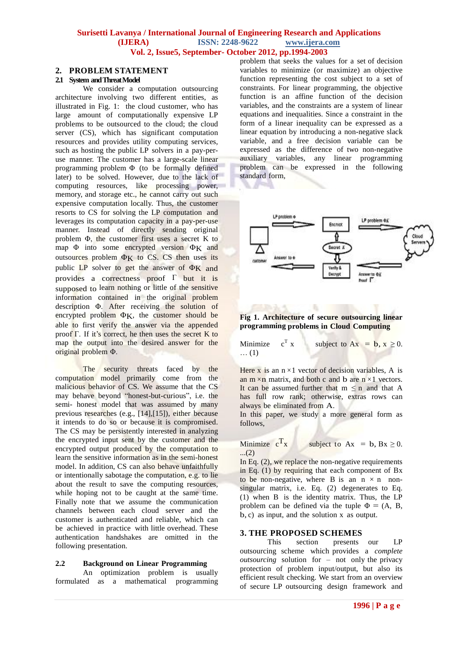# **2. PROBLEM STATEMENT**

## **2.1 System and Threat Model**

We consider a computation outsourcing architecture involving two different entities, as illustrated in Fig. 1: the cloud customer, who has large amount of computationally expensive LP problems to be outsourced to the cloud; the cloud server (CS), which has significant computation resources and provides utility computing services, such as hosting the public LP solvers in a pay-peruse manner. The customer has a large-scale linear programming problem  $\Phi$  (to be formally defined later) to be solved. However, due to the lack of computing resources, like processing power, memory, and storage etc., he cannot carry out such expensive computation locally. Thus, the customer resorts to CS for solving the LP computation and leverages its computation capacity in a pay-per-use manner. Instead of directly sending original problem Φ, the customer first uses a secret K to map  $\Phi$  into some encrypted version  $\Phi$ K and outsources problem  $\Phi$ K to CS. CS then uses its public  $LP$  solver to get the answer of  $\Phi_K$  and provides a correctness proof Γ but it is supposed to learn nothing or little of the sensitive information contained in the original problem description Φ. After receiving the solution of encrypted problem  $\Phi$ K, the customer should be able to first verify the answer via the appended proof Γ. If it's correct, he then uses the secret K to map the output into the desired answer for the original problem Φ.

The security threats faced by the computation model primarily come from the malicious behavior of CS. We assume that the CS may behave beyond "honest-but-curious", i.e. the semi- honest model that was assumed by many previous researches (e.g., [14],[15]), either because it intends to do so or because it is compromised. The CS may be persistently interested in analyzing the encrypted input sent by the customer and the encrypted output produced by the computation to learn the sensitive information as in the semi-honest model. In addition, CS can also behave unfaithfully or intentionally sabotage the computation, e.g. to lie about the result to save the computing resources, while hoping not to be caught at the same time. Finally note that we assume the communication channels between each cloud server and the customer is authenticated and reliable, which can be achieved in practice with little overhead. These authentication handshakes are omitted in the following presentation.

#### **2.2 Background on Linear Programming**

An optimization problem is usually formulated as a mathematical programming problem that seeks the values for a set of decision variables to minimize (or maximize) an objective function representing the cost subject to a set of constraints. For linear programming, the objective function is an affine function of the decision variables, and the constraints are a system of linear equations and inequalities. Since a constraint in the form of a linear inequality can be expressed as a linear equation by introducing a non-negative slack variable, and a free decision variable can be expressed as the difference of two non-negative auxiliary variables, any linear programming problem can be expressed in the following standard form,



# **Fig 1. Architecture of secure outsourcing linear programming problems in Cloud Computing**

ħ

Minimize  $c^T$  x subject to  $Ax = b, x \ge 0$ . … (1)

Here x is an  $n \times 1$  vector of decision variables, A is an  $m \times n$  matrix, and both c and b are  $n \times 1$  vectors. It can be assumed further that  $m \le n$  and that A has full row rank; otherwise, extras rows can always be eliminated from A.

In this paper, we study a more general form as follows,

#### Minimize  $c^Tx$ subject to  $Ax = b$ ,  $Bx \ge 0$ . ...(2)

In Eq. (2), we replace the non-negative requirements in Eq. (1) by requiring that each component of  $Bx$ to be non-negative, where B is an  $n \times n$  nonsingular matrix, i.e. Eq. (2) degenerates to Eq. (1) when B is the identity matrix. Thus, the LP problem can be defined via the tuple  $\Phi = (A, B, A)$ b, c) as input, and the solution x as output.

# **3. THE PROPOSED SCHEMES**

This section presents our LP outsourcing scheme which provides a *complete outsourcing* solution for – not only the privacy protection of problem input/output, but also its efficient result checking. We start from an overview of secure LP outsourcing design framework and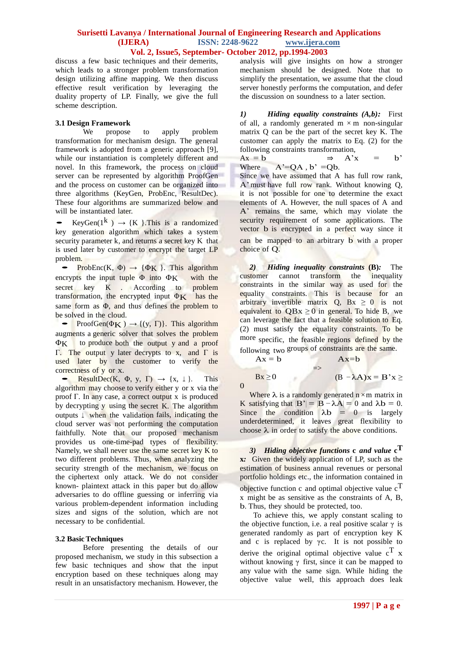discuss a few basic techniques and their demerits, which leads to a stronger problem transformation design utilizing affine mapping. We then discuss effective result verification by leveraging the duality property of LP. Finally, we give the full scheme description.

#### **3.1 Design Framework**

We propose to apply problem transformation for mechanism design. The general framework is adopted from a generic approach [9], while our instantiation is completely different and novel. In this framework, the process on cloud server can be represented by algorithm ProofGen and the process on customer can be organized into three algorithms (KeyGen, ProbEnc, ResultDec). These four algorithms are summarized below and will be instantiated later.

 $KevGen(1^k) \rightarrow \{K\}$ . This is a randomized key generation algorithm which takes a system security parameter k, and returns a secret key K that is used later by customer to encrypt the target LP problem.

• ProbEnc(K,  $\Phi$ )  $\rightarrow$  { $\Phi$ K }. This algorithm<br>crypts the input tuple  $\Phi$  into  $\Phi$ K with the encrypts the input tuple  $\Phi$  into  $\Phi$ K secret key K . According to problem transformation, the encrypted input  $\Phi_K$  has the same form as  $\Phi$ , and thus defines the problem to be solved in the cloud.

• ProofGen( $\Phi$ **K**)  $\rightarrow$  {(y,  $\Gamma$ )}. This algorithm augments a generic solver that solves the problem  $\Phi$ K to produce both the output y and a proof Γ. The output y later decrypts to x, and  $Γ$  is used later by the customer to verify the correctness of y or x.

• ResultDec(K,  $\Phi$ , y,  $\Gamma$ )  $\rightarrow$  {x,  $\perp$  }. This algorithm may choose to verify either y or x via the proof Γ. In any case, a correct output x is produced by decrypting y using the secret K. The algorithm outputs <sup>⊥</sup> when the validation fails, indicating the cloud server was not performing the computation faithfully. Note that our proposed mechanism provides us one-time-pad types of flexibility. Namely, we shall never use the same secret key K to two different problems. Thus, when analyzing the security strength of the mechanism, we focus on the ciphertext only attack. We do not consider known- plaintext attack in this paper but do allow adversaries to do offline guessing or inferring via various problem-dependent information including sizes and signs of the solution, which are not necessary to be confidential.

#### **3.2 BasicTechniques**

Before presenting the details of our proposed mechanism, we study in this subsection a few basic techniques and show that the input encryption based on these techniques along may result in an unsatisfactory mechanism. However, the analysis will give insights on how a stronger mechanism should be designed. Note that to simplify the presentation, we assume that the cloud server honestly performs the computation, and defer the discussion on soundness to a later section.

*1) Hiding equality constraints (A,b):* First of all, a randomly generated  $m \times m$  non-singular matrix Q can be the part of the secret key K. The customer can apply the matrix to Eq. (2) for the following constraints transformation,

 $Ax = b$   $\Rightarrow$   $A'x = b'$ <br>Where  $A'=OA, b'=Qb$ .  $A'=QA$ ,  $b' =Qb$ .

Since we have assumed that A has full row rank, A"must have full row rank. Without knowing Q, it is not possible for one to determine the exact elements of A. However, the null spaces of A and A" remains the same, which may violate the security requirement of some applications. The vector b is encrypted in a perfect way since it can be mapped to an arbitrary b with a proper choice of Q.

 *2) Hiding inequality constraints* **(B)***:* The customer cannot transform the inequality constraints in the similar way as used for the equality constraints. This is because for an arbitrary invertible matrix  $Q$ ,  $Bx \ge 0$  is not equivalent to  $QBx \ge 0$  in general. To hide B, we can leverage the fact that a feasible solution to Eq. (2) must satisfy the equality constraints. To be more specific, the feasible regions defined by the following two groups of constraints are the same.

| $Ax = b$ |               | $Ax = b$                     |
|----------|---------------|------------------------------|
|          | $\Rightarrow$ |                              |
| Bx > 0   |               | $(B - \lambda A)x = B'x \ge$ |

0

Where  $\lambda$  is a randomly generated  $n \times m$  matrix in K satisfying that  $|B'| = |B - \lambda A| = 0$  and  $\lambda b = 0$ . Since the condition  $\lambda b = 0$  is largely underdetermined, it leaves great flexibility to choose  $\lambda$  in order to satisfy the above conditions.

 *3) Hiding objective functions* **c** *and value* **c T x***:* Given the widely application of LP, such as the estimation of business annual revenues or personal portfolio holdings etc., the information contained in objective function c and optimal objective value  $c^T$ x might be as sensitive as the constraints of A, B, b. Thus, they should be protected, too.

 To achieve this, we apply constant scaling to the objective function, i.e. a real positive scalar  $\gamma$  is generated randomly as part of encryption key K and c is replaced by  $\gamma c$ . It is not possible to derive the original optimal objective value  $c^T$  x without knowing  $\gamma$  first, since it can be mapped to any value with the same sign. While hiding the objective value well, this approach does leak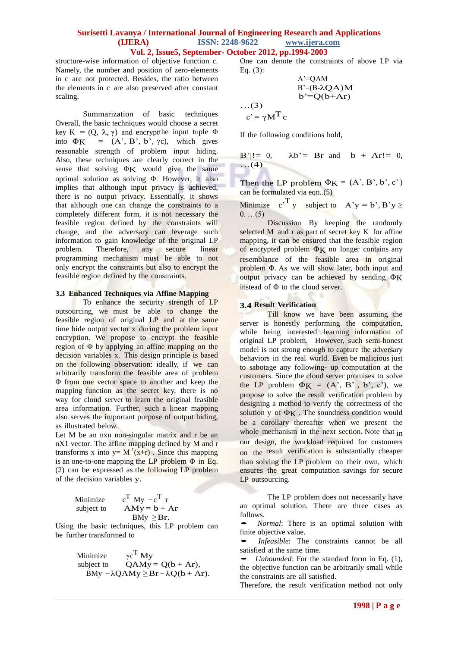$c^2$ 

structure-wise information of objective function c. Namely, the number and position of zero-elements in c are not protected. Besides, the ratio between the elements in c are also preserved after constant scaling.

Summarization of basic techniques Overall, the basic techniques would choose a secret key K = (Q,  $\lambda$ ,  $\gamma$ ) and encrypt the input tuple  $\Phi$ into  $\Phi_K = (A^{\prime}, B^{\prime}, b^{\prime}, \gamma c)$ , which gives reasonable strength of problem input hiding. Also, these techniques are clearly correct in the sense that solving  $\Phi$ K would give the same optimal solution as solving Φ. However, it also implies that although input privacy is achieved, there is no output privacy. Essentially, it shows that although one can change the constraints to a completely different form, it is not necessary the feasible region defined by the constraints will change, and the adversary can leverage such information to gain knowledge of the original LP problem. Therefore, any secure linear programming mechanism must be able to not only encrypt the constraints but also to encrypt the feasible region defined by the constraints.

# **3.3 Enhanced Techniques via Affine Mapping**

To enhance the security strength of LP outsourcing, we must be able to change the feasible region of original LP and at the same time hide output vector x during the problem input encryption. We propose to encrypt the feasible region of  $\Phi$  by applying an affine mapping on the decision variables x. This design principle is based on the following observation: ideally, if we can arbitrarily transform the feasible area of problem Φ from one vector space to another and keep the mapping function as the secret key, there is no way for cloud server to learn the original feasible area information. Further, such a linear mapping also serves the important purpose of output hiding, as illustrated below.

Let M be an nxn non-singular matrix and r be an nX1 vector. The affine mapping defined by M and r transforms x into  $y = M^{-1}(x+r)$ . Since this mapping is an one-to-one mapping the LP problem  $\Phi$  in Eq. (2) can be expressed as the following LP problem of the decision variables y.

| Minimize   | $c^T$ My $-c^T$ r |
|------------|-------------------|
| subject to | $AMy = b + Ar$    |
|            | $BMy \geq Br.$    |

Using the basic techniques, this LP problem can be further transformed to

| Minimize   | $\gamma c^T M v$                                  |
|------------|---------------------------------------------------|
| subject to | $QAMy = Q(b + Ar)$ ,                              |
|            | BMy $-\lambda QAMy \geq Br - \lambda Q(b + Ar)$ . |

One can denote the constraints of above LP via Eq. (3):

A'=QAM  
B'=(B-
$$
\lambda
$$
QA)M  
b'=Q(b+Ar)  
...(3)  
c'= $\gamma M^{T}c$ 

If the following conditions hold,

$$
|B'|! = 0, \quad \lambda b' = Br \text{ and } b + Ar! = 0, \ldots (4)
$$

Then the LP problem  $\Phi$ K = (A', B', b', c') can be formulated via eqn..(5)

Minimize  $c^{T} y$  subject to  $A'y = b', B'y \geq$  $0.$  … $(5)$ 

Discussion By keeping the randomly selected M and r as part of secret key K for affine mapping, it can be ensured that the feasible region of encrypted problem  $\Phi_K$  no longer contains any resemblance of the feasible area in original problem Φ. As we will show later, both input and output privacy can be achieved by sending  $\Phi_K$ instead of Φ to the cloud server.

## **3.4 Result Verification**

Till know we have been assuming the server is honestly performing the computation, while being interested learning information of original LP problem. However, such semi-honest model is not strong enough to capture the adversary behaviors in the real world. Even be malicious just to sabotage any following- up computation at the customers. Since the cloud server promises to solve the LP problem  $\Phi$ K =  $(A', B', b', c')$ , we propose to solve the result verification problem by designing a method to verify the correctness of the solution  $y$  of  $\Phi$ <sub>K</sub>. The soundness condition would be a corollary thereafter when we present the whole mechanism in the next section. Note that in our design, the workload required for customers on the result verification is substantially cheaper than solving the LP problem on their own, which ensures the great computation savings for secure LP outsourcing.

The LP problem does not necessarily have an optimal solution. There are three cases as follows.

• *Normal*: There is an optimal solution with finite objective value.

• *Infeasible*: The constraints cannot be all satisfied at the same time.

• *Unbounded*: For the standard form in Eq. (1), the objective function can be arbitrarily small while the constraints are all satisfied.

Therefore, the result verification method not only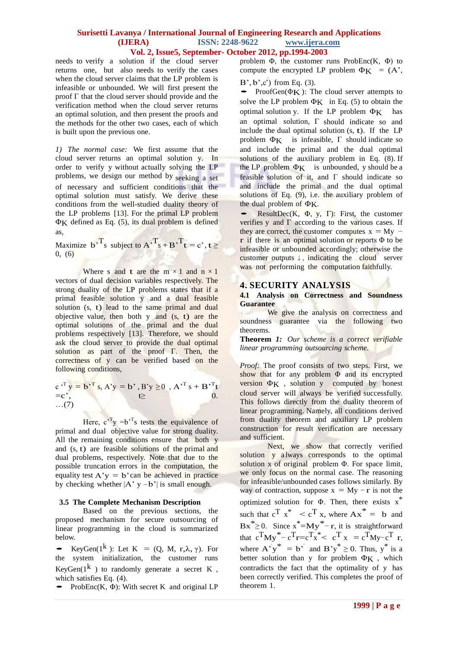needs to verify a solution if the cloud server returns one, but also needs to verify the cases when the cloud server claims that the LP problem is infeasible or unbounded. We will first present the proof Γ that the cloud server should provide and the verification method when the cloud server returns an optimal solution, and then present the proofs and the methods for the other two cases, each of which is built upon the previous one.

*1) The normal case:* We first assume that the cloud server returns an optimal solution y. In order to verify y without actually solving the LP problems, we design our method by seeking a set of necessary and sufficient conditions that the optimal solution must satisfy. We derive these conditions from the well-studied duality theory of the LP problems [13]. For the primal LP problem  $\Phi$ K defined as Eq. (5), its dual problem is defined as,

Maximize  $\mathbf{b}^{\prime \mathbf{T}}\mathbf{s}$  subject to  $\mathbf{A}^{\prime \mathbf{T}}\mathbf{s} + \mathbf{B}^{\prime \mathbf{T}}\mathbf{t} = \mathbf{c}^{\prime}, \mathbf{t} \geq 0$  $0, (6)$ 

Where s and **t** are the  $m \times 1$  and  $n \times 1$ vectors of dual decision variables respectively. The strong duality of the LP problems states that if a primal feasible solution y and a dual feasible solution (s, t) lead to the same primal and dual objective value, then both y and (s, t) are the optimal solutions of the primal and the dual problems respectively [13]. Therefore, we should ask the cloud server to provide the dual optimal solution as part of the proof Γ. Then, the correctness of y can be verified based on the following conditions,

$$
cAT y = bAT s, A'y = b', B'y \ge 0, AAT s + BAT t = c',= c',...(7)
$$

Here,  $c^T y = b^T s$  tests the equivalence of primal and dual objective value for strong duality. All the remaining conditions ensure that both y and (s, t) are feasible solutions of the primal and dual problems, respectively. Note that due to the possible truncation errors in the computation, the equality test  $A'y = b'$  can be achieved in practice by checking whether  $||A' v - b'||$  is small enough.

#### **3.5 The Complete Mechanism Description**

Based on the previous sections, the proposed mechanism for secure outsourcing of linear programming in the cloud is summarized below.

KeyGen(1<sup>k</sup>): Let K = (Q, M, r, $\lambda$ ,  $\gamma$ ). For the system initialization, the customer runs KeyGen( $1^k$ ) to randomly generate a secret K. which satisfies Eq.  $(4)$ .

• ProbEnc $(K, \Phi)$ : With secret K and original LP

problem  $\Phi$ , the customer runs ProbEnc(K,  $\Phi$ ) to compute the encrypted LP problem  $\Phi$ K =  $(A^{\prime})$ ,

 $B', b', c'$  from Eq. (3).

• ProofGen( $\Phi$ K): The cloud server attempts to solve the LP problem  $\Phi$ K in Eq. (5) to obtain the optimal solution y. If the LP problem  $\Phi$ K has an optimal solution, Γ should indicate so and include the dual optimal solution  $(s, t)$ . If the LP problem  $\Phi_K$  is infeasible,  $\Gamma$  should indicate so and include the primal and the dual optimal solutions of the auxiliary problem in Eq. (8). If the LP problem  $\Phi_K$  is unbounded, y should be a feasible solution of it, and Γ should indicate so and include the primal and the dual optimal solutions of Eq. (9), i.e. the auxiliary problem of the dual problem of  $\Phi$ K.

• ResultDec(K,  $\Phi$ , y,  $\Gamma$ ): First, the customer verifies y and  $\Gamma$  according to the various cases. If they are correct, the customer computes  $x = My$ r if there is an optimal solution or reports  $\Phi$  to be infeasible or unbounded accordingly; otherwise the customer outputs <sup>⊥</sup> , indicating the cloud server was not performing the computation faithfully.

# **4. SECURITY ANALYSIS**

**4.1 Analysis on Correctness and Soundness Guarantee**

We give the analysis on correctness and soundness guarantee via the following two theorems.

**Theorem** *1: Our scheme is a correct verifiable linear programming outsourcing scheme.*

*Proof:* The proof consists of two steps. First, we show that for any problem  $\Phi$  and its encrypted version  $\Phi$ K, solution y computed by honest cloud server will always be verified successfully. This follows directly from the duality theorem of linear programming. Namely, all conditions derived from duality theorem and auxiliary LP problem construction for result verification are necessary and sufficient.

Next, we show that correctly verified solution y always corresponds to the optimal solution x of original problem Φ. For space limit, we only focus on the normal case. The reasoning for infeasible/unbounded cases follows similarly. By way of contraction, suppose  $x = My - r$  is not the optimized solution for  $\Phi$ . Then, there exists  $x^*$ such that  $c^T x^* < c^T x$ , where  $Ax^* = b$  and  $Bx^* \ge 0$ . Since  $x^* = My^* - r$ , it is straightforward that  $c^T My^* - c^T r = c^T x^* < c^T x = c^T My - c^T r$ , where  $A^{y'}y^* = b^{y'}$  and  $B^{y''} \ge 0$ . Thus,  $y^*$  is a better solution than y for problem  $\Phi$ K, which contradicts the fact that the optimality of y has been correctly verified. This completes the proof of theorem 1.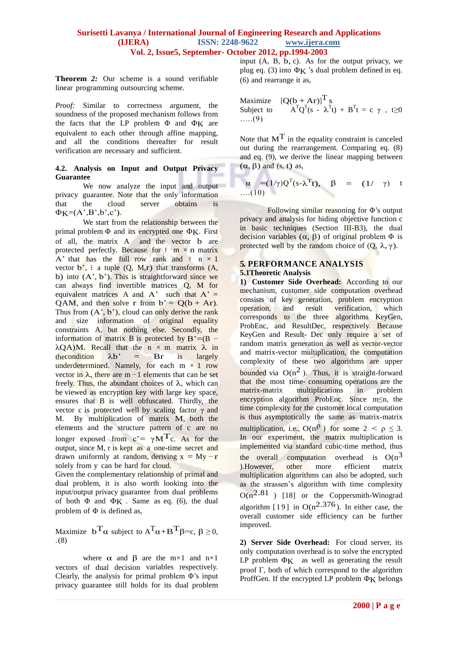**Theorem** *2:* Our scheme is a sound verifiable linear programming outsourcing scheme.

*Proof:* Similar to correctness argument, the soundness of the proposed mechanism follows from the facts that the LP problem  $\Phi$  and  $\Phi$ K are equivalent to each other through affine mapping, and all the conditions thereafter for result verification are necessary and sufficient.

#### **4.2. Analysis on Input and Output Privacy Guarantee**

We now analyze the input and output privacy guarantee. Note that the only information that the cloud server obtains is  $\Phi$ K= $(A', B', b', c')$ .

We start from the relationship between the primal problem  $\Phi$  and its encrypted one  $\Phi$ K. First of all, the matrix A and the vector b are protected perfectly. Because for  $\forall$  m  $\times$  n matrix A' that has the full row rank and  $\gamma$  n  $\times$  1 vector  $b^3$ , ∃ a tuple  $(Q, M,r)$  that transforms  $(A,$ b) into  $(A', b')$ . This is straightforward since we can always find invertible matrices Q, M for equivalent matrices A and A' such that  $A' =$ QAM, and then solve r from  $b' = Q(b + Ar)$ . Thus from  $(A', b')$ , cloud can only derive the rank and size information of original equality constraints A, but nothing else. Secondly, the information of matrix B is protected by  $B'=(B \lambda$ QA)M. Recall that the n × m matrix  $\lambda$  in<br>the condition  $\lambda$ b' = Br is largely  $\lambda b' =$ underdetermined. Namely, for each  $m \times 1$  row vector in  $\lambda$ , there are m −1 elements that can be set freely. Thus, the abundant choices of  $\lambda$ , which can be viewed as encryption key with large key space, ensures that B is well obfuscated. Thirdly, the vector c is protected well by scaling factor  $\gamma$  and M. By multiplication of matrix M, both the elements and the structure pattern of c are no longer exposed from  $c' = \gamma M^T c$ . As for the output, since M, r is kept as a one-time secret and drawn uniformly at random, deriving  $x = My - r$ solely from y can be hard for cloud.

Given the complementary relationship of primal and dual problem, it is also worth looking into the input/output privacy guarantee from dual problems of both  $\Phi$  and  $\Phi$ K. Same as eq. (6), the dual problem of  $\Phi$  is defined as,

Maximize  $\mathbf{b}^T \alpha$  subject to  $\mathbf{A}^T \alpha + \mathbf{B}^T \beta = c, \beta \ge 0$ , .(8)

where  $\alpha$  and  $\beta$  are the m×1 and n×1 vectors of dual decision variables respectively. Clearly, the analysis for primal problem  $\Phi$ 's input privacy guarantee still holds for its dual problem input  $(A, B, b, c)$ . As for the output privacy, we plug eq. (3) into  $\Phi$ K 's dual problem defined in eq. (6) and rearrange it as,

Maximize 
$$
[Q(b + Ar)]^T s
$$
  
Subject to  $A^T Q^T (s - \lambda^T t) + B^T t = c \gamma$ ,  $t \ge 0$   
.....(9)

Note that  $M<sup>T</sup>$  in the equality constraint is canceled out during the rearrangement. Comparing eq. (8) and eq. (9), we derive the linear mapping between  $(\alpha, \beta)$  and  $(s, t)$  as, **IN** 

$$
\alpha = (1/\gamma)Q^{T}(s-\lambda^{T}t), \quad \beta = (1/\gamma) \quad t
$$
 ....(10)

Following similar reasoning for  $\Phi$ 's output privacy and analysis for hiding objective function c in basic techniques (Section III-B3), the dual decision variables (α, β) of original problem Φ is protected well by the random choice of  $(Q, \lambda, \gamma)$ .

# **5. PERFORMANCE ANALYSIS 5.1Theoretic Analysis**

**1) Customer Side Overhead:** According to our mechanism, customer side computation overhead consists of key generation, problem encryption operation, and result verification, which corresponds to the three algorithms KeyGen, ProbEnc, and ResultDec, respectively. Because KeyGen and Result- Dec only require a set of random matrix generation as well as vector-vector and matrix-vector multiplication, the computation complexity of these two algorithms are upper bounded via  $O(n^2)$ . Thus, it is straight-forward that the most time- consuming operations are the matrix-matrix multiplications in problem encryption algorithm ProbEnc. Since  $m \leq n$ , the time complexity for the customer local computation is thus asymptotically the same as matrix-matrix multiplication, i.e.,  $O(n^{\rho})$  for some  $2 < \rho \leq 3$ . In our experiment, the matrix multiplication is implemented via standard cubic-time method, thus the overall computation overhead is  $O(n^3)$ ).However, other more efficient matrix multiplication algorithms can also be adopted, such as the strassen"s algorithm with time complexity  $O(n^{2.81})$  [18] or the Coppersmith-Winograd algorithm [19] in  $O(n^{2.376})$ . In either case, the overall customer side efficiency can be further improved.

**2) Server Side Overhead:**For cloud server, its only computation overhead is to solve the encrypted LP problem  $\Phi$ K as well as generating the result proof Γ, both of which correspond to the algorithm ProffGen. If the encrypted LP problem  $\Phi_K$  belongs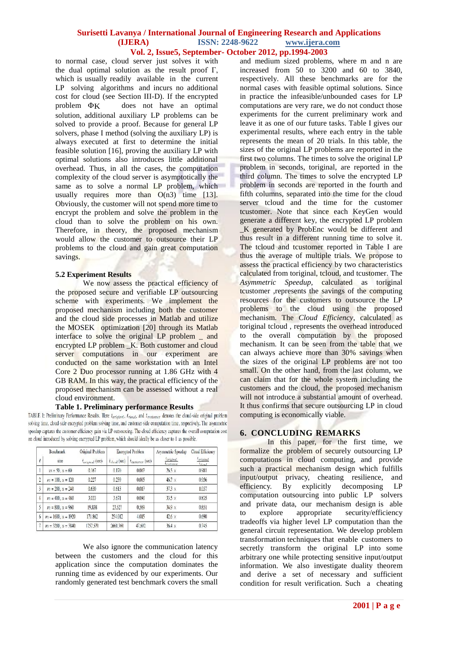to normal case, cloud server just solves it with the dual optimal solution as the result proof  $\Gamma$ , which is usually readily available in the current LP solving algorithms and incurs no additional cost for cloud (see Section III-D). If the encrypted problem  $\Phi$ K does not have an optimal solution, additional auxiliary LP problems can be solved to provide a proof. Because for general LP solvers, phase I method (solving the auxiliary LP) is always executed at first to determine the initial feasible solution [16], proving the auxiliary LP with optimal solutions also introduces little additional overhead. Thus, in all the cases, the computation complexity of the cloud server is asymptotically the same as to solve a normal LP problem, which usually requires more than  $O(n^3)$  time [13]. Obviously, the customer will not spend more time to encrypt the problem and solve the problem in the cloud than to solve the problem on his own. Therefore, in theory, the proposed mechanism would allow the customer to outsource their LP problems to the cloud and gain great computation savings.

#### **5.2 Experiment Results**

We now assess the practical efficiency of the proposed secure and verifiable LP outsourcing scheme with experiments. We implement the proposed mechanism including both the customer and the cloud side processes in Matlab and utilize the MOSEK optimization [20] through its Matlab interface to solve the original LP problem \_ and encrypted LP problem \_K. Both customer and cloud server computations in our experiment are conducted on the same workstation with an Intel Core 2 Duo processor running at 1.86 GHz with 4 GB RAM. In this way, the practical efficiency of the proposed mechanism can be assessed without a real cloud environment.

**Table 1. Preliminary performance Results**<br>TABLE 1: Preliminary Performance Results. Here t<sub>original</sub>, t<sub>rioud</sub>, and t<sub>oustamer</sub> denotes the cloud-side original problem solving time, cloud-side encrypted problem solving time, and customer-side computation time, respectively. The asymmetric speedup captures the customer efficiency gain via LP outsourcing. The cloud efficiency captures the overall computation cost on cloud introduced by solving encrypted LP problem, which should ideally be as closer to 1 as possible.

| Benchmark      |                      | Original Problem     | Encrypted Problem |                             | Asymmetric Speedup     | Cloud Efficiency              |
|----------------|----------------------|----------------------|-------------------|-----------------------------|------------------------|-------------------------------|
| ŧ              | size                 | $t_{original}$ (sec) | $t_{cland}$ (sec) | t <sub>customer</sub> (sec) | toriginal<br>tenstomer | $t_{original}$<br>$t_{cloud}$ |
|                | $m = 50, n = 60$     | 0.167                | 0.170             | 0.007                       | $26.5 \times$          | 0.981                         |
| $\hat{c}$      | $m = 100, n = 120$   | 0.227                | 0.239             | 0.005                       | $46.7 \times$          | 0.956                         |
| $\overline{3}$ | $m = 200, n = 240$   | 0.630                | 0.613             | 0.017                       | $37.3 \times$          | 1.037                         |
| $\overline{4}$ | $m = 400, n = 480$   | 3.033                | 3.671             | 0.090                       | $33.5 \times$          | 0.835                         |
| 5              | $m = 800, n = 960$   | 19.838               | 23,527            | 0.569                       | $34.9 \times$          | 0.851                         |
| 6              | $m = 1600, n = 1920$ | 171.862              | 254.012           | 4.015                       | $42.6 \times$          | 0.690                         |
| $\overline{a}$ | $m = 3200, n = 3840$ | 1757.570             | 2661.360          | 47.602                      | $36.4 \times$          | 0.745                         |

We also ignore the communication latency between the customers and the cloud for this application since the computation dominates the running time as evidenced by our experiments. Our randomly generated test benchmark covers the small and medium sized problems, where m and n are increased from  $50$  to  $3200$  and  $60$  to  $3840$ , respectively. All these benchmarks are for the normal cases with feasible optimal solutions. Since in practice the infeasible/unbounded cases for LP computations are very rare, we do not conduct those experiments for the current preliminary work and leave it as one of our future tasks. Table I gives our experimental results, where each entry in the table represents the mean of 20 trials. In this table, the sizes of the original LP problems are reported in the first two columns. The times to solve the original LP problem in seconds, toriginal, are reported in the third column. The times to solve the encrypted LP problem in seconds are reported in the fourth and fifth columns, separated into the time for the cloud server tcloud and the time for the customer tcustomer. Note that since each KeyGen would generate a different key, the encrypted LP problem \_K generated by ProbEnc would be different and thus result in a different running time to solve it. The tcloud and tcustomer reported in Table I are thus the average of multiple trials. We propose to assess the practical efficiency by two characteristics calculated from toriginal, tcloud, and tcustomer. The *Asymmetric Speedup*, calculated as toriginal tcustomer ,represents the savings of the computing resources for the customers to outsource the LP problems to the cloud using the proposed mechanism. The *Cloud Efficiency*, calculated as toriginal tcloud , represents the overhead introduced to the overall computation by the proposed mechanism. It can be seen from the table that we can always achieve more than 30% savings when the sizes of the original LP problems are not too small. On the other hand, from the last column, we can claim that for the whole system including the customers and the cloud, the proposed mechanism will not introduce a substantial amount of overhead. It thus confirms that secure outsourcing LP in cloud computing is economically viable.

# **6. CONCLUDING REMARKS**

In this paper, for the first time, we formalize the problem of securely outsourcing LP computations in cloud computing, and provide such a practical mechanism design which fulfills input/output privacy, cheating resilience, and efficiency. By explicitly decomposing LP computation outsourcing into public LP solvers and private data, our mechanism design is able to explore appropriate security/efficiency tradeoffs via higher level LP computation than the general circuit representation. We develop problem transformation techniques that enable customers to secretly transform the original LP into some arbitrary one while protecting sensitive input/output information. We also investigate duality theorem and derive a set of necessary and sufficient condition for result verification. Such a cheating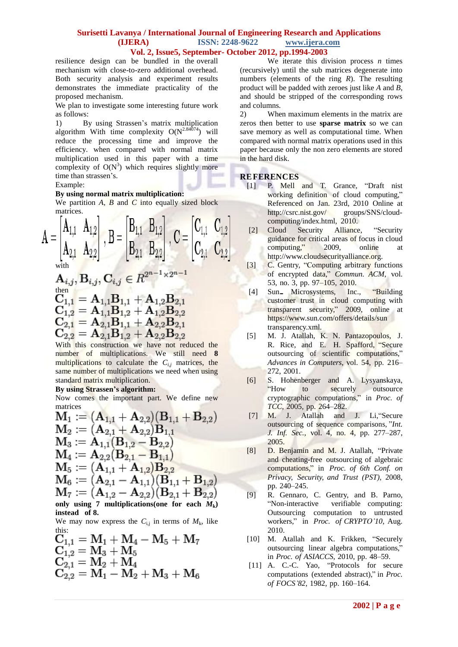resilience design can be bundled in the overall mechanism with close-to-zero additional overhead. Both security analysis and experiment results demonstrates the immediate practicality of the proposed mechanism.

We plan to investigate some interesting future work as follows:

1) By using Strassen"s matrix multiplication algorithm With time complexity  $O(N^{2.84074})$  will reduce the processing time and improve the efficiency. when compared with normal matrix multiplication used in this paper with a time complexity of  $O(N^3)$  which requires slightly more time than strassen's.

Example:

1

# **By using normal matrix multiplication:**

We partition *A*, *B* and *C* into equally sized block matrices.  $\overline{\phantom{a}}$  $\mathbf{r}$ **Contract Contract Contract Contract Contract Contract Contract Contract Contract Contract Contract Contract Contract Contract Contract Contract Contract Contract Contract Contract Contract Contract Contract Contract Contr**  $\mathbf{r}$ 

$$
A = \begin{bmatrix} A_{1,1} & A_{1,2} \\ A_{2,1} & A_{2,2} \end{bmatrix}, B = \begin{bmatrix} B_{1,1} & B_{1,2} \\ B_{2,1} & B_{2,2} \end{bmatrix}, C = \begin{bmatrix} C_{1,1} & C_{1,2} \\ C_{2,1} & C_{2,2} \end{bmatrix}
$$
  
\n
$$
A_{i,j}, B_{i,j}, C_{i,j} \in R^{2^{n-1} \times 2^{n-1}}
$$
  
\n
$$
C_{1,1} = A_{1,1}B_{1,1} + A_{1,2}B_{2,1}
$$
  
\n
$$
C_{1,2} = A_{1,1}B_{1,2} + A_{1,2}B_{2,2}
$$
  
\n
$$
C_{2,1} = A_{2,1}B_{1,1} + A_{2,2}B_{2,1}
$$
  
\n
$$
C_{2,2} = A_{2,1}B_{1,2} + A_{2,2}B_{2,2}
$$
  
\nWith this construction we have not reduced the

number of multiplications. We still need **8** multiplications to calculate the  $C_{i,j}$  matrices, the same number of multiplications we need when using standard matrix multiplication.

#### **By using Strassen's algorithm:**

Now comes the important part. We define new matrices - 7

$$
M_1 := (A_{1,1} + A_{2,2})(B_{1,1} + B_{2,2})
$$
  
\n
$$
M_2 := (A_{2,1} + A_{2,2})B_{1,1}
$$
  
\n
$$
M_3 := A_{1,1}(B_{1,2} - B_{2,2})
$$
  
\n
$$
M_4 := A_{2,2}(B_{2,1} - B_{1,1})
$$
  
\n
$$
M_5 := (A_{1,1} + A_{1,2})B_{2,2}
$$
  
\n
$$
M_6 := (A_{2,1} - A_{1,1})(B_{1,1} + B_{1,2})
$$
  
\n
$$
M_7 := (A_{1,2} - A_{2,2})(B_{2,1} + B_{2,2})
$$
  
\nonly using 7 multiplications (one for each  $M_k$ ) instead of 8.

We may now express the  $C_{i,j}$  in terms of  $M_k$ , like

 $C_{1,1} = M_1 + M_4 - M_5 + M_7$  ${\rm C_{1,2}} = {\rm M_3} + {\rm M_5}$  $C_{2,1}^{1,2} = M_2^3 + M_4^2$ <br>  $C_{2,2} = M_1 - M_2 + M_3 + M_6$ 

We iterate this division process *n* times (recursively) until the sub matrices degenerate into numbers (elements of the ring *R*). The resulting product will be padded with zeroes just like *A* and *B*, and should be stripped of the corresponding rows and columns.

2) When maximum elements in the matrix are zeros then better to use **sparse matrix** so we can save memory as well as computational time. When compared with normal matrix operations used in this paper because only the non zero elements are stored in the hard disk.

# **REFERENCES**

- [1] P. Mell and T. Grance, "Draft nist working definition of cloud computing," Referenced on Jan. 23rd, 2010 Online at <http://csrc.nist.gov/> groups/SNS/cloudcomputing/index.html, 2010.
- [2] Cloud Security Alliance, "Security guidance for critical areas of focus in cloud computing," 2009, online at [http://www.cloudsecurityalliance.org.](http://www.cloudsecurityalliance.org/)
- [3] C. Gentry, "Computing arbitrary functions of encrypted data," *Commun. ACM*, vol. 53, no. 3, pp. 97–105, 2010.
- [4] Sun Microsystems, Inc., "Building customer trust in cloud computing with transparent security," 2009, online at https[://www.sun.com/offers/d](http://www.sun.com/offers/)etails/sun transparency.xml.
- [5] M. J. Atallah, K. N. Pantazopoulos, J. R. Rice, and E. H. Spafford, "Secure outsourcing of scientific computations," *Advances in Computers*, vol. 54, pp. 216– 272, 2001.
- [6] S. Hohenberger and A. Lysyanskaya, "How to securely outsource cryptographic computations," in *Proc. of TCC*, 2005, pp. 264–282.
- [7] M. J. Atallah and J. Li,"Secure outsourcing of sequence comparisons, "*Int. J. Inf. Sec.*, vol. 4, no. 4, pp. 277–287, 2005.
- [8] D. Benjamin and M. J. Atallah, "Private" and cheating-free outsourcing of algebraic computations," in *Proc. of 6th Conf. on Privacy, Security, and Trust (PST)*, 2008, pp. 240–245.
- [9] R. Gennaro, C. Gentry, and B. Parno, "Non-interactive verifiable computing: Outsourcing computation to untrusted workers," in *Proc. of CRYPTO'10*, Aug. 2010.
- [10] M. Atallah and K. Frikken, "Securely outsourcing linear algebra computations, in *Proc. of ASIACCS*, 2010, pp. 48–59.
- [11] A. C.-C. Yao, "Protocols for secure computations (extended abstract)," in *Proc. of FOCS'82*, 1982, pp. 160–164.